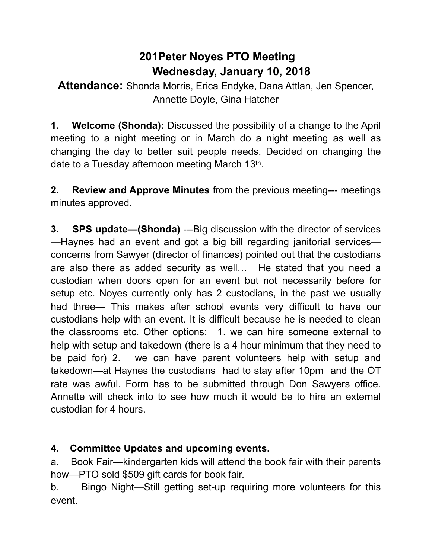## **201Peter Noyes PTO Meeting Wednesday, January 10, 2018**

**Attendance:** Shonda Morris, Erica Endyke, Dana Attlan, Jen Spencer, Annette Doyle, Gina Hatcher

**1. Welcome (Shonda):** Discussed the possibility of a change to the April meeting to a night meeting or in March do a night meeting as well as changing the day to better suit people needs. Decided on changing the date to a Tuesday afternoon meeting March 13th.

**2. Review and Approve Minutes** from the previous meeting--- meetings minutes approved.

**3.** SPS update—(Shonda) ---Big discussion with the director of services —Haynes had an event and got a big bill regarding janitorial services concerns from Sawyer (director of finances) pointed out that the custodians are also there as added security as well… He stated that you need a custodian when doors open for an event but not necessarily before for setup etc. Noyes currently only has 2 custodians, in the past we usually had three— This makes after school events very difficult to have our custodians help with an event. It is difficult because he is needed to clean the classrooms etc. Other options: 1. we can hire someone external to help with setup and takedown (there is a 4 hour minimum that they need to be paid for) 2. we can have parent volunteers help with setup and takedown—at Haynes the custodians had to stay after 10pm and the OT rate was awful. Form has to be submitted through Don Sawyers office. Annette will check into to see how much it would be to hire an external custodian for 4 hours.

## **4. Committee Updates and upcoming events.**

a. Book Fair—kindergarten kids will attend the book fair with their parents how—PTO sold \$509 gift cards for book fair.

b. Bingo Night—Still getting set-up requiring more volunteers for this event.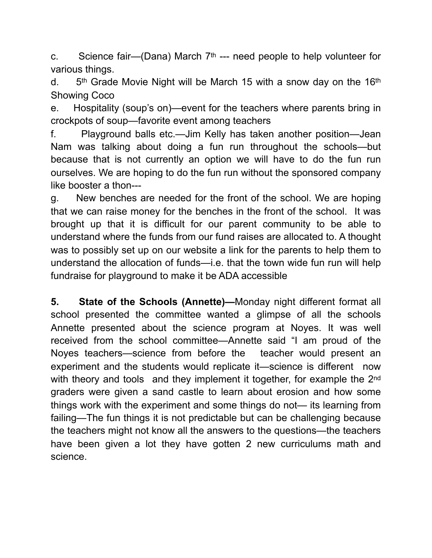c. Science fair—(Dana) March  $7<sup>th</sup>$  --- need people to help volunteer for various things.

d.  $5<sup>th</sup>$  Grade Movie Night will be March 15 with a snow day on the 16<sup>th</sup> Showing Coco

e. Hospitality (soup's on)—event for the teachers where parents bring in crockpots of soup—favorite event among teachers

f. Playground balls etc.—Jim Kelly has taken another position—Jean Nam was talking about doing a fun run throughout the schools—but because that is not currently an option we will have to do the fun run ourselves. We are hoping to do the fun run without the sponsored company like booster a thon---

g. New benches are needed for the front of the school. We are hoping that we can raise money for the benches in the front of the school. It was brought up that it is difficult for our parent community to be able to understand where the funds from our fund raises are allocated to. A thought was to possibly set up on our website a link for the parents to help them to understand the allocation of funds—i.e. that the town wide fun run will help fundraise for playground to make it be ADA accessible

**5. State of the Schools (Annette)—**Monday night different format all school presented the committee wanted a glimpse of all the schools Annette presented about the science program at Noyes. It was well received from the school committee—Annette said "I am proud of the Noyes teachers—science from before the teacher would present an experiment and the students would replicate it—science is different now with theory and tools and they implement it together, for example the 2<sup>nd</sup> graders were given a sand castle to learn about erosion and how some things work with the experiment and some things do not— its learning from failing—The fun things it is not predictable but can be challenging because the teachers might not know all the answers to the questions—the teachers have been given a lot they have gotten 2 new curriculums math and science.